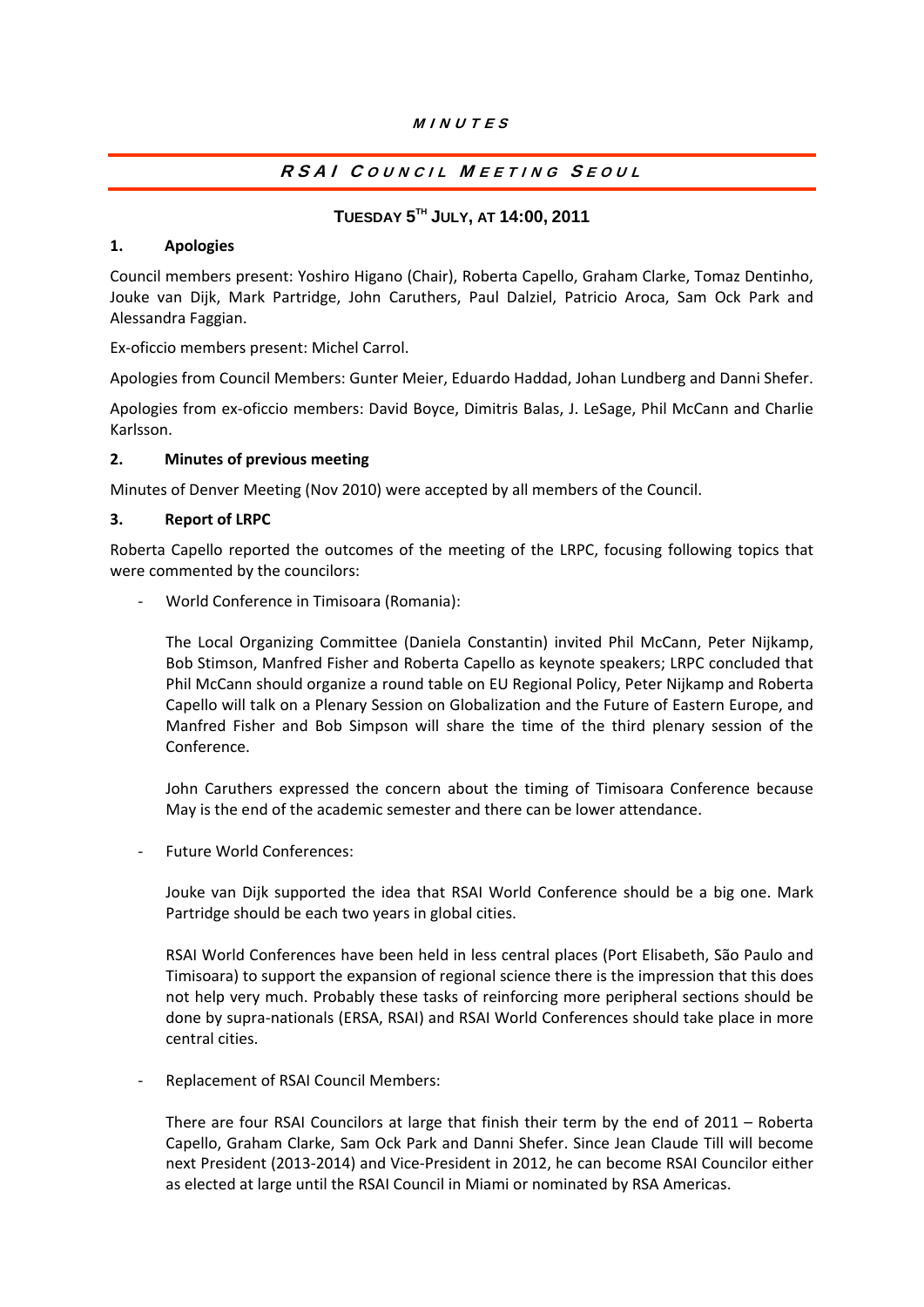## MINUTES

# RSAI COUNCIL MEETING SEOUL

## **TUESDAY 5TH JULY, AT 14:00, 2011**

#### **1. Apologies**

Council members present: Yoshiro Higano (Chair), Roberta Capello, Graham Clarke, Tomaz Dentinho, Jouke van Dijk, Mark Partridge, John Caruthers, Paul Dalziel, Patricio Aroca, Sam Ock Park and Alessandra Faggian.

Ex‐oficcio members present: Michel Carrol.

Apologies from Council Members: Gunter Meier, Eduardo Haddad, Johan Lundberg and Danni Shefer.

Apologies from ex‐oficcio members: David Boyce, Dimitris Balas, J. LeSage, Phil McCann and Charlie Karlsson.

## **2. Minutes of previous meeting**

Minutes of Denver Meeting (Nov 2010) were accepted by all members of the Council.

#### **3. Report of LRPC**

Roberta Capello reported the outcomes of the meeting of the LRPC, focusing following topics that were commented by the councilors:

‐ World Conference in Timisoara (Romania):

The Local Organizing Committee (Daniela Constantin) invited Phil McCann, Peter Nijkamp, Bob Stimson, Manfred Fisher and Roberta Capello as keynote speakers; LRPC concluded that Phil McCann should organize a round table on EU Regional Policy, Peter Nijkamp and Roberta Capello will talk on a Plenary Session on Globalization and the Future of Eastern Europe, and Manfred Fisher and Bob Simpson will share the time of the third plenary session of the Conference.

John Caruthers expressed the concern about the timing of Timisoara Conference because May is the end of the academic semester and there can be lower attendance.

‐ Future World Conferences:

Jouke van Dijk supported the idea that RSAI World Conference should be a big one. Mark Partridge should be each two years in global cities.

RSAI World Conferences have been held in less central places (Port Elisabeth, São Paulo and Timisoara) to support the expansion of regional science there is the impression that this does not help very much. Probably these tasks of reinforcing more peripheral sections should be done by supra‐nationals (ERSA, RSAI) and RSAI World Conferences should take place in more central cities.

‐ Replacement of RSAI Council Members:

There are four RSAI Councilors at large that finish their term by the end of 2011 – Roberta Capello, Graham Clarke, Sam Ock Park and Danni Shefer. Since Jean Claude Till will become next President (2013‐2014) and Vice‐President in 2012, he can become RSAI Councilor either as elected at large until the RSAI Council in Miami or nominated by RSA Americas.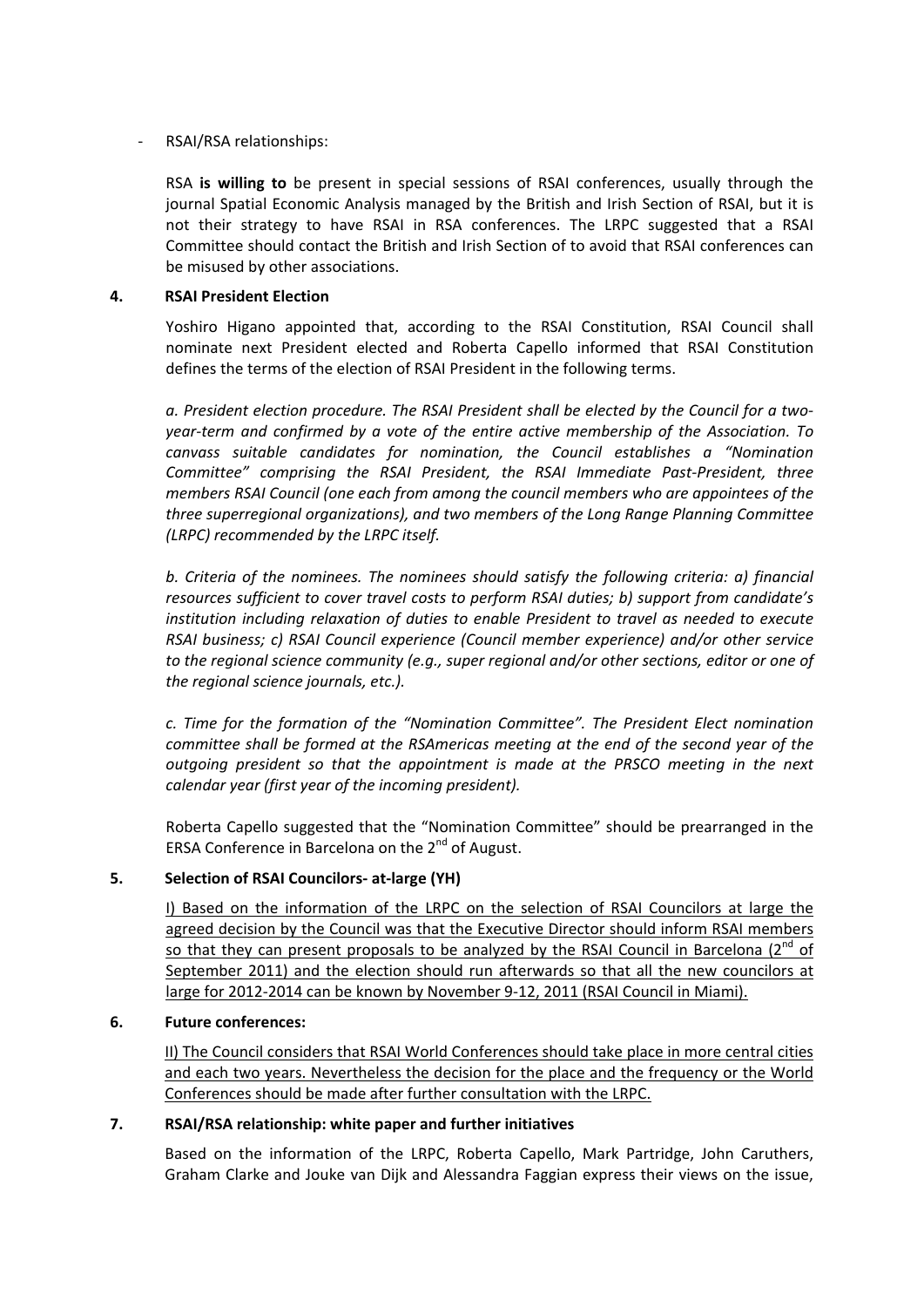## ‐ RSAI/RSA relationships:

RSA **is willing to** be present in special sessions of RSAI conferences, usually through the journal Spatial Economic Analysis managed by the British and Irish Section of RSAI, but it is not their strategy to have RSAI in RSA conferences. The LRPC suggested that a RSAI Committee should contact the British and Irish Section of to avoid that RSAI conferences can be misused by other associations.

## **4. RSAI President Election**

Yoshiro Higano appointed that, according to the RSAI Constitution, RSAI Council shall nominate next President elected and Roberta Capello informed that RSAI Constitution defines the terms of the election of RSAI President in the following terms.

*a. President election procedure. The RSAI President shall be elected by the Council for a two‐ year‐term and confirmed by a vote of the entire active membership of the Association. To canvass suitable candidates for nomination, the Council establishes a "Nomination Committee" comprising the RSAI President, the RSAI Immediate Past‐President, three members RSAI Council (one each from among the council members who are appointees of the three superregional organizations), and two members of the Long Range Planning Committee (LRPC) recommended by the LRPC itself.*

*b. Criteria of the nominees. The nominees should satisfy the following criteria: a) financial resources sufficient to cover travel costs to perform RSAI duties; b) support from candidate's institution including relaxation of duties to enable President to travel as needed to execute RSAI business; c) RSAI Council experience (Council member experience) and/or other service to the regional science community (e.g., super regional and/or other sections, editor or one of the regional science journals, etc.).*

*c. Time for the formation of the "Nomination Committee". The President Elect nomination committee shall be formed at the RSAmericas meeting at the end of the second year of the outgoing president so that the appointment is made at the PRSCO meeting in the next calendar year (first year of the incoming president).*

Roberta Capello suggested that the "Nomination Committee" should be prearranged in the ERSA Conference in Barcelona on the 2<sup>nd</sup> of August.

## **5. Selection of RSAI Councilors‐ at‐large (YH)**

I) Based on the information of the LRPC on the selection of RSAI Councilors at large the agreed decision by the Council was that the Executive Director should inform RSAI members so that they can present proposals to be analyzed by the RSAI Council in Barcelona  $(2^{nd}$  of September 2011) and the election should run afterwards so that all the new councilors at large for 2012-2014 can be known by November 9-12, 2011 (RSAI Council in Miami).

## **6. Future conferences:**

II) The Council considers that RSAI World Conferences should take place in more central cities and each two years. Nevertheless the decision for the place and the frequency or the World Conferences should be made after further consultation with the LRPC.

## **7. RSAI/RSA relationship: white paper and further initiatives**

Based on the information of the LRPC, Roberta Capello, Mark Partridge, John Caruthers, Graham Clarke and Jouke van Dijk and Alessandra Faggian express their views on the issue,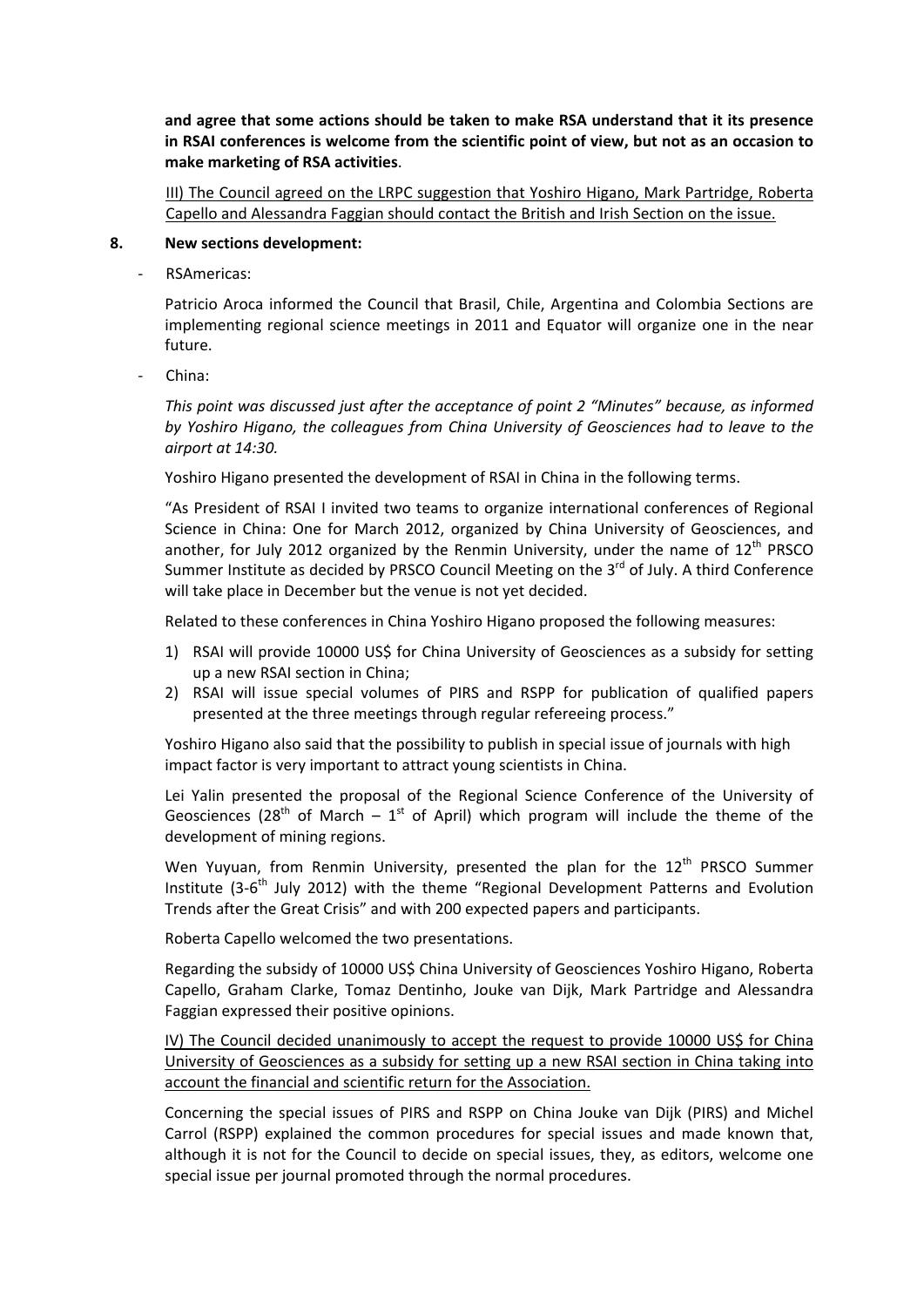**and agree that some actions should be taken to make RSA understand that it its presence in RSAI conferences is welcome from the scientific point of view, but not as an occasion to make marketing of RSA activities**.

III) The Council agreed on the LRPC suggestion that Yoshiro Higano, Mark Partridge, Roberta Capello and Alessandra Faggian should contact the British and Irish Section on the issue.

#### **8. New sections development:**

‐ RSAmericas:

Patricio Aroca informed the Council that Brasil, Chile, Argentina and Colombia Sections are implementing regional science meetings in 2011 and Equator will organize one in the near future.

‐ China:

*This point was discussed just after the acceptance of point 2 "Minutes" because, as informed by Yoshiro Higano, the colleagues from China University of Geosciences had to leave to the airport at 14:30.*

Yoshiro Higano presented the development of RSAI in China in the following terms.

"As President of RSAI I invited two teams to organize international conferences of Regional Science in China: One for March 2012, organized by China University of Geosciences, and another, for July 2012 organized by the Renmin University, under the name of  $12<sup>th</sup> PRSCO$ Summer Institute as decided by PRSCO Council Meeting on the  $3^{rd}$  of July. A third Conference will take place in December but the venue is not yet decided.

Related to these conferences in China Yoshiro Higano proposed the following measures:

- 1) RSAI will provide 10000 US\$ for China University of Geosciences as a subsidy for setting up a new RSAI section in China;
- 2) RSAI will issue special volumes of PIRS and RSPP for publication of qualified papers presented at the three meetings through regular refereeing process."

Yoshiro Higano also said that the possibility to publish in special issue of journals with high impact factor is very important to attract young scientists in China.

Lei Yalin presented the proposal of the Regional Science Conference of the University of Geosciences (28<sup>th</sup> of March – 1<sup>st</sup> of April) which program will include the theme of the development of mining regions.

Wen Yuyuan, from Renmin University, presented the plan for the  $12<sup>th</sup>$  PRSCO Summer Institute (3-6<sup>th</sup> July 2012) with the theme "Regional Development Patterns and Evolution Trends after the Great Crisis" and with 200 expected papers and participants.

Roberta Capello welcomed the two presentations.

Regarding the subsidy of 10000 US\$ China University of Geosciences Yoshiro Higano, Roberta Capello, Graham Clarke, Tomaz Dentinho, Jouke van Dijk, Mark Partridge and Alessandra Faggian expressed their positive opinions.

IV) The Council decided unanimously to accept the request to provide 10000 US\$ for China University of Geosciences as a subsidy for setting up a new RSAI section in China taking into account the financial and scientific return for the Association.

Concerning the special issues of PIRS and RSPP on China Jouke van Dijk (PIRS) and Michel Carrol (RSPP) explained the common procedures for special issues and made known that, although it is not for the Council to decide on special issues, they, as editors, welcome one special issue per journal promoted through the normal procedures.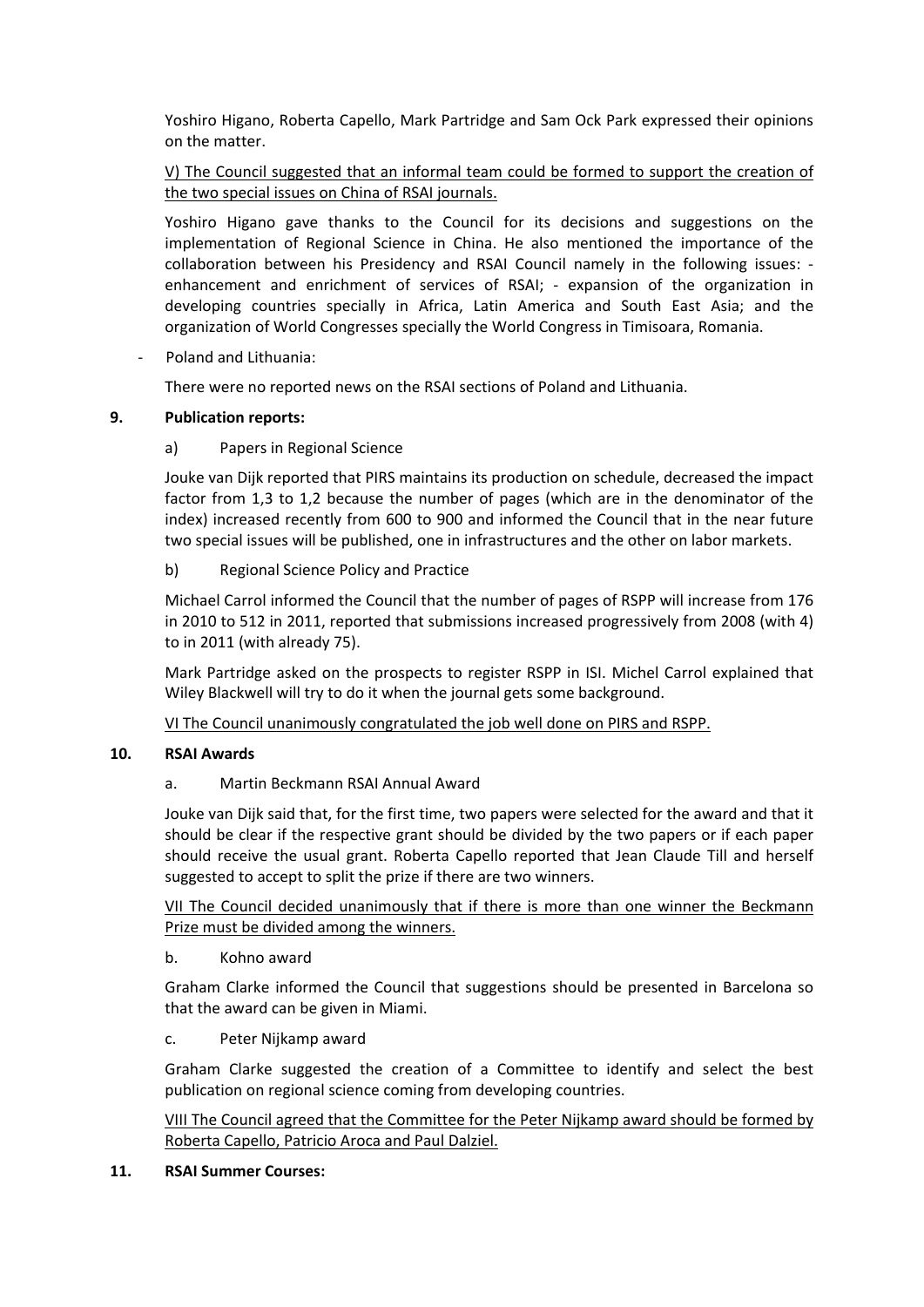Yoshiro Higano, Roberta Capello, Mark Partridge and Sam Ock Park expressed their opinions on the matter.

## V) The Council suggested that an informal team could be formed to support the creation of the two special issues on China of RSAI journals.

Yoshiro Higano gave thanks to the Council for its decisions and suggestions on the implementation of Regional Science in China. He also mentioned the importance of the collaboration between his Presidency and RSAI Council namely in the following issues: ‐ enhancement and enrichment of services of RSAI; - expansion of the organization in developing countries specially in Africa, Latin America and South East Asia; and the organization of World Congresses specially the World Congress in Timisoara, Romania.

‐ Poland and Lithuania:

There were no reported news on the RSAI sections of Poland and Lithuania.

## **9. Publication reports:**

## a) Papers in Regional Science

Jouke van Dijk reported that PIRS maintains its production on schedule, decreased the impact factor from 1,3 to 1,2 because the number of pages (which are in the denominator of the index) increased recently from 600 to 900 and informed the Council that in the near future two special issues will be published, one in infrastructures and the other on labor markets.

## b) Regional Science Policy and Practice

Michael Carrol informed the Council that the number of pages of RSPP will increase from 176 in 2010 to 512 in 2011, reported that submissions increased progressively from 2008 (with 4) to in 2011 (with already 75).

Mark Partridge asked on the prospects to register RSPP in ISI. Michel Carrol explained that Wiley Blackwell will try to do it when the journal gets some background.

VI The Council unanimously congratulated the job well done on PIRS and RSPP.

## **10. RSAI Awards**

## a. Martin Beckmann RSAI Annual Award

Jouke van Dijk said that, for the first time, two papers were selected for the award and that it should be clear if the respective grant should be divided by the two papers or if each paper should receive the usual grant. Roberta Capello reported that Jean Claude Till and herself suggested to accept to split the prize if there are two winners.

VII The Council decided unanimously that if there is more than one winner the Beckmann Prize must be divided among the winners.

## b. Kohno award

Graham Clarke informed the Council that suggestions should be presented in Barcelona so that the award can be given in Miami.

## c. Peter Nijkamp award

Graham Clarke suggested the creation of a Committee to identify and select the best publication on regional science coming from developing countries.

VIII The Council agreed that the Committee for the Peter Nijkamp award should be formed by Roberta Capello, Patricio Aroca and Paul Dalziel.

## **11. RSAI Summer Courses:**